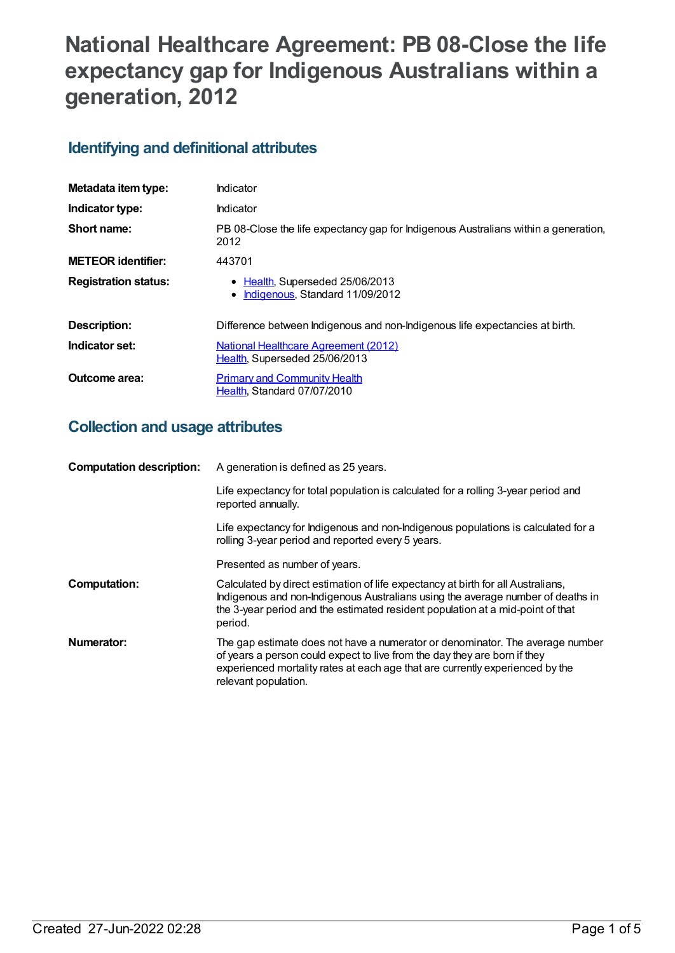# **National Healthcare Agreement: PB 08-Close the life expectancy gap for Indigenous Australians within a generation, 2012**

# **Identifying and definitional attributes**

| Metadata item type:         | Indicator                                                                                   |
|-----------------------------|---------------------------------------------------------------------------------------------|
| Indicator type:             | Indicator                                                                                   |
| Short name:                 | PB 08-Close the life expectancy gap for Indigenous Australians within a generation,<br>2012 |
| <b>METEOR identifier:</b>   | 443701                                                                                      |
| <b>Registration status:</b> | • Health, Superseded 25/06/2013<br>Indigenous, Standard 11/09/2012                          |
| Description:                | Difference between Indigenous and non-Indigenous life expectancies at birth.                |
| Indicator set:              | <b>National Healthcare Agreement (2012)</b><br>Health, Superseded 25/06/2013                |
| Outcome area:               | <b>Primary and Community Health</b><br>Health, Standard 07/07/2010                          |

# **Collection and usage attributes**

| <b>Computation description:</b> | A generation is defined as 25 years.                                                                                                                                                                                                                                |
|---------------------------------|---------------------------------------------------------------------------------------------------------------------------------------------------------------------------------------------------------------------------------------------------------------------|
|                                 | Life expectancy for total population is calculated for a rolling 3-year period and<br>reported annually.                                                                                                                                                            |
|                                 | Life expectancy for Indigenous and non-Indigenous populations is calculated for a<br>rolling 3-year period and reported every 5 years.                                                                                                                              |
|                                 | Presented as number of years.                                                                                                                                                                                                                                       |
| <b>Computation:</b>             | Calculated by direct estimation of life expectancy at birth for all Australians,<br>Indigenous and non-Indigenous Australians using the average number of deaths in<br>the 3-year period and the estimated resident population at a mid-point of that<br>period.    |
| Numerator:                      | The gap estimate does not have a numerator or denominator. The average number<br>of years a person could expect to live from the day they are born if they<br>experienced mortality rates at each age that are currently experienced by the<br>relevant population. |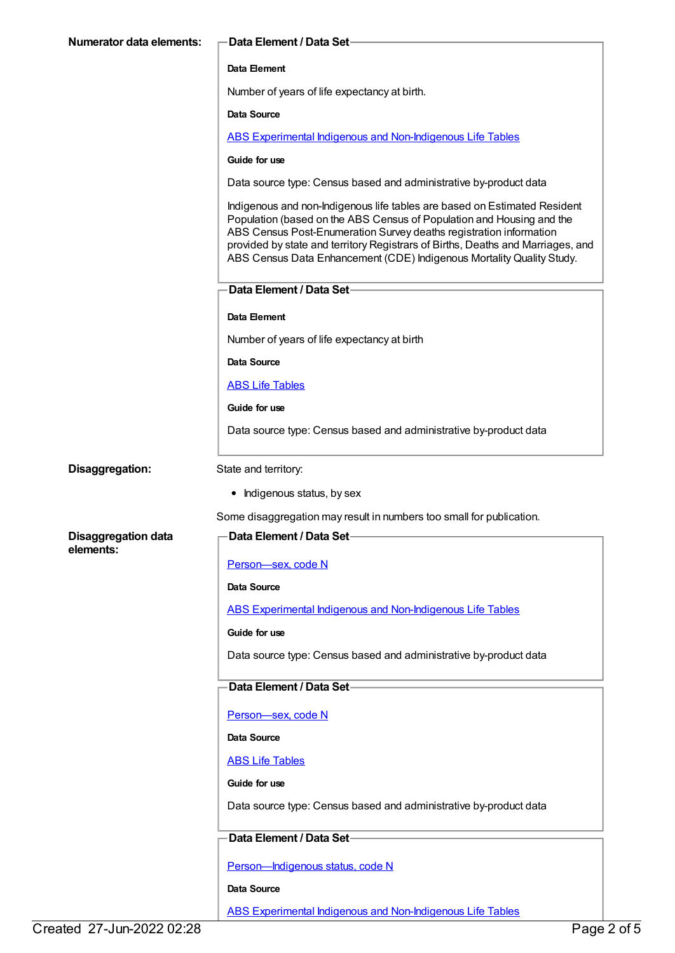| <b>Numerator data elements:</b> | Data Element / Data Set-                                                                                                                                                                                                                                                                                                                                                             |  |
|---------------------------------|--------------------------------------------------------------------------------------------------------------------------------------------------------------------------------------------------------------------------------------------------------------------------------------------------------------------------------------------------------------------------------------|--|
|                                 | Data Element                                                                                                                                                                                                                                                                                                                                                                         |  |
|                                 | Number of years of life expectancy at birth.                                                                                                                                                                                                                                                                                                                                         |  |
|                                 | Data Source                                                                                                                                                                                                                                                                                                                                                                          |  |
|                                 | <b>ABS Experimental Indigenous and Non-Indigenous Life Tables</b>                                                                                                                                                                                                                                                                                                                    |  |
|                                 | Guide for use                                                                                                                                                                                                                                                                                                                                                                        |  |
|                                 | Data source type: Census based and administrative by-product data                                                                                                                                                                                                                                                                                                                    |  |
|                                 | Indigenous and non-Indigenous life tables are based on Estimated Resident<br>Population (based on the ABS Census of Population and Housing and the<br>ABS Census Post-Enumeration Survey deaths registration information<br>provided by state and territory Registrars of Births, Deaths and Marriages, and<br>ABS Census Data Enhancement (CDE) Indigenous Mortality Quality Study. |  |
|                                 | Data Element / Data Set-                                                                                                                                                                                                                                                                                                                                                             |  |
|                                 | Data Element                                                                                                                                                                                                                                                                                                                                                                         |  |
|                                 | Number of years of life expectancy at birth                                                                                                                                                                                                                                                                                                                                          |  |
|                                 | Data Source                                                                                                                                                                                                                                                                                                                                                                          |  |
|                                 | <b>ABS Life Tables</b>                                                                                                                                                                                                                                                                                                                                                               |  |
|                                 | Guide for use                                                                                                                                                                                                                                                                                                                                                                        |  |
|                                 | Data source type: Census based and administrative by-product data                                                                                                                                                                                                                                                                                                                    |  |
| Disaggregation:                 | State and territory:                                                                                                                                                                                                                                                                                                                                                                 |  |
|                                 | • Indigenous status, by sex                                                                                                                                                                                                                                                                                                                                                          |  |
|                                 | Some disaggregation may result in numbers too small for publication.                                                                                                                                                                                                                                                                                                                 |  |
| <b>Disaggregation data</b>      | <b>Data Element / Data Set-</b>                                                                                                                                                                                                                                                                                                                                                      |  |
| elements:                       | Person-sex, code N                                                                                                                                                                                                                                                                                                                                                                   |  |
|                                 | <b>Data Source</b>                                                                                                                                                                                                                                                                                                                                                                   |  |
|                                 | <b>ABS Experimental Indigenous and Non-Indigenous Life Tables</b>                                                                                                                                                                                                                                                                                                                    |  |
|                                 | Guide for use                                                                                                                                                                                                                                                                                                                                                                        |  |
|                                 | Data source type: Census based and administrative by-product data                                                                                                                                                                                                                                                                                                                    |  |
|                                 | Data Element / Data Set-                                                                                                                                                                                                                                                                                                                                                             |  |
|                                 | Person-sex, code N                                                                                                                                                                                                                                                                                                                                                                   |  |
|                                 | Data Source                                                                                                                                                                                                                                                                                                                                                                          |  |
|                                 | <b>ABS Life Tables</b>                                                                                                                                                                                                                                                                                                                                                               |  |
|                                 | Guide for use                                                                                                                                                                                                                                                                                                                                                                        |  |
|                                 | Data source type: Census based and administrative by-product data                                                                                                                                                                                                                                                                                                                    |  |
|                                 | Data Element / Data Set-                                                                                                                                                                                                                                                                                                                                                             |  |
|                                 | Person-Indigenous status, code N                                                                                                                                                                                                                                                                                                                                                     |  |
|                                 | Data Source                                                                                                                                                                                                                                                                                                                                                                          |  |
|                                 | <b>ABS Experimental Indigenous and Non-Indigenous Life Tables</b>                                                                                                                                                                                                                                                                                                                    |  |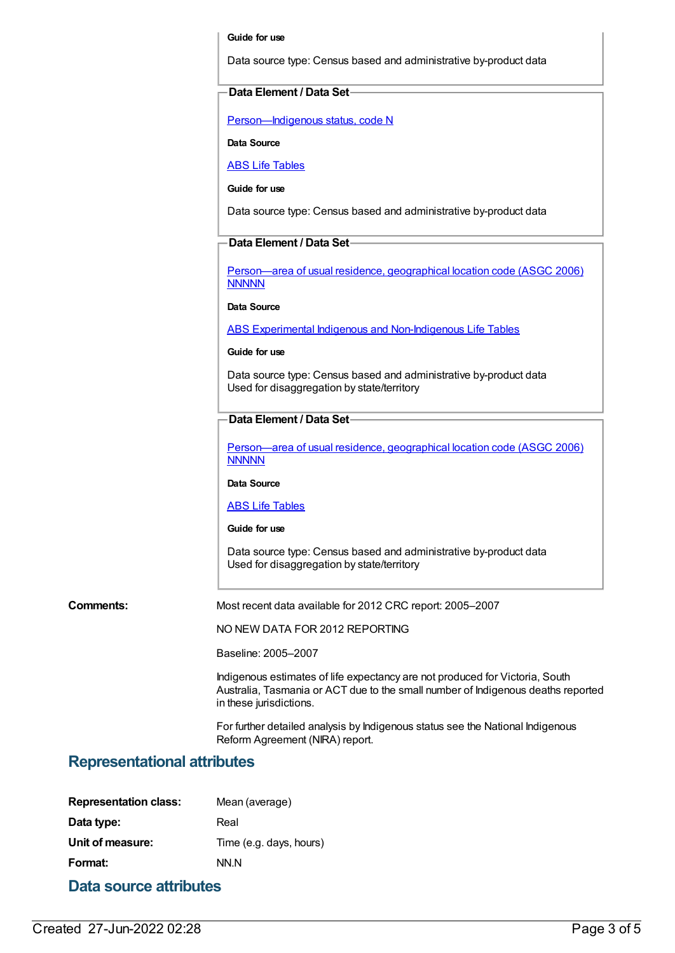#### **Guide for use**

Data source type: Census based and administrative by-product data

#### **Data Element / Data Set**

[Person—Indigenous](https://meteor.aihw.gov.au/content/291036) status, code N

**Data Source**

ABS Life [Tables](https://meteor.aihw.gov.au/content/402041)

**Guide for use**

Data source type: Census based and administrative by-product data

# **Data Element / Data Set**

[Person—area](https://meteor.aihw.gov.au/content/341800) of usual residence, geographical location code (ASGC 2006) **NNNNN** 

### **Data Source**

ABS Experimental Indigenous and [Non-Indigenous](https://meteor.aihw.gov.au/content/396210) Life Tables

#### **Guide for use**

Data source type: Census based and administrative by-product data Used for disaggregation by state/territory

## **Data Element / Data Set**

[Person—area](https://meteor.aihw.gov.au/content/341800) of usual residence, geographical location code (ASGC 2006) **NNNNN** 

**Data Source**

### ABS Life [Tables](https://meteor.aihw.gov.au/content/402041)

### **Guide for use**

Data source type: Census based and administrative by-product data Used for disaggregation by state/territory

**Comments:** Most recent data available for 2012 CRC report: 2005–2007

NO NEW DATA FOR 2012 REPORTING

Baseline: 2005–2007

Indigenous estimates of life expectancy are not produced for Victoria, South Australia, Tasmania or ACT due to the small number of Indigenous deaths reported in these jurisdictions.

For further detailed analysis by Indigenous status see the National Indigenous Reform Agreement (NIRA) report.

# **Representational attributes**

| <b>Representation class:</b> | Mean (average)          |  |  |
|------------------------------|-------------------------|--|--|
| Data type:                   | Real                    |  |  |
| Unit of measure:             | Time (e.g. days, hours) |  |  |
| Format:                      | NN.N                    |  |  |
| Data source attributes       |                         |  |  |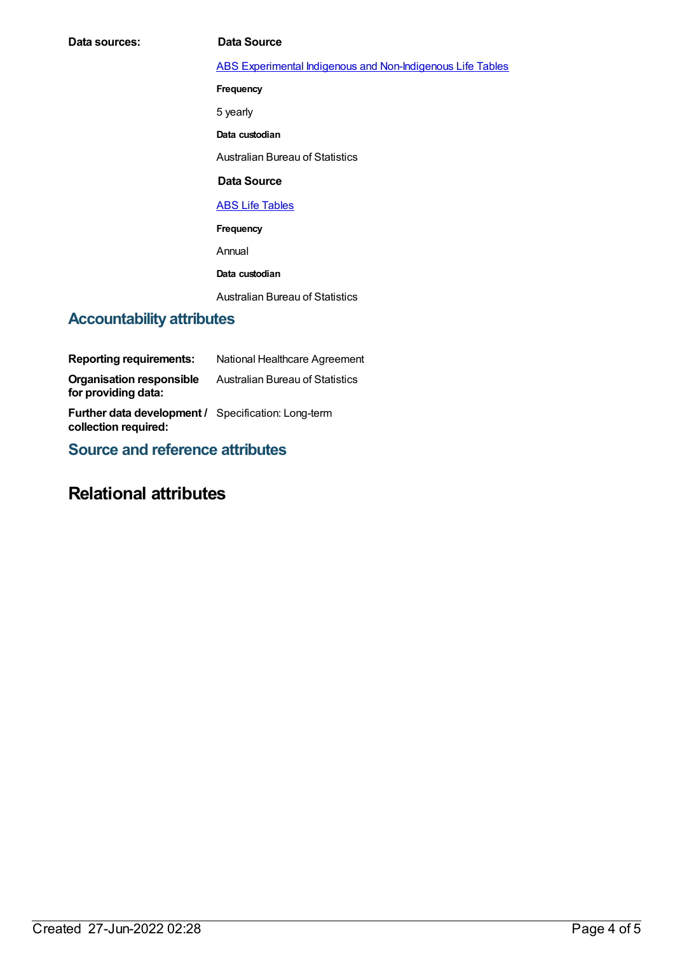| Data sources: | Data Source                                                |
|---------------|------------------------------------------------------------|
|               | ABS Experimental Indigenous and Non-Indigenous Life Tables |
|               | Frequency                                                  |
|               | 5 yearly                                                   |
|               | Data custodian                                             |
|               | <b>Australian Bureau of Statistics</b>                     |
|               | Data Source                                                |
|               | <b>ABS Life Tables</b>                                     |

**Frequency**

Annual

**Data custodian**

Australian Bureau of Statistics

# **Accountability attributes**

| <b>Reporting requirements:</b>                                                     | National Healthcare Agreement          |
|------------------------------------------------------------------------------------|----------------------------------------|
| <b>Organisation responsible</b><br>for providing data:                             | <b>Australian Bureau of Statistics</b> |
| <b>Further data development / Specification: Long-term</b><br>collection required: |                                        |

**Source and reference attributes**

# **Relational attributes**